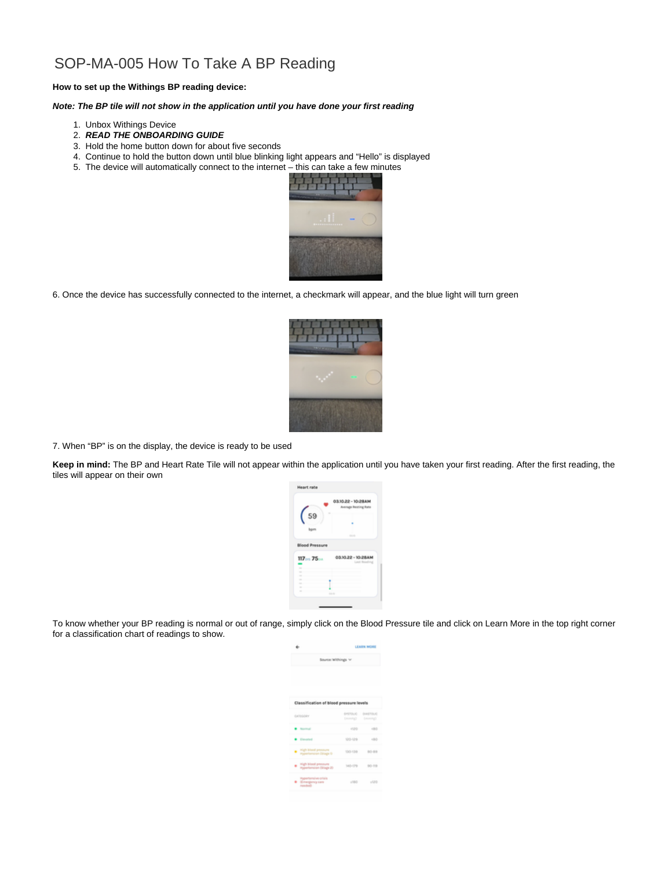## SOP-MA-005 How To Take A BP Reading

## **How to set up the Withings BP reading device:**

## **Note: The BP tile will not show in the application until you have done your first reading**

- 1. Unbox Withings Device
- 2. **READ THE ONBOARDING GUIDE**
- 3. Hold the home button down for about five seconds
- 4. Continue to hold the button down until blue blinking light appears and "Hello" is displayed
- 5. The device will automatically connect to the internet this can take a few minutes



6. Once the device has successfully connected to the internet, a checkmark will appear, and the blue light will turn green



7. When "BP" is on the display, the device is ready to be used

**Keep in mind:** The BP and Heart Rate Tile will not appear within the application until you have taken your first reading. After the first reading, the tiles will appear on their own



To know whether your BP reading is normal or out of range, simply click on the Blood Pressure tile and click on Learn More in the top right corner for a classification chart of readings to show.

| ۰                                                                                          | LEARN MORE         |                   |
|--------------------------------------------------------------------------------------------|--------------------|-------------------|
| Source Withings V                                                                          |                    |                   |
|                                                                                            |                    |                   |
|                                                                                            |                    |                   |
| Classification of blood pressure levels                                                    |                    |                   |
|                                                                                            |                    |                   |
| CATALOGY                                                                                   | EPSTOLIC DIAEROLIC | Deaming3 (months) |
| · Some                                                                                     |                    | 4120 490          |
| <b>Counted</b>                                                                             |                    | 120-120 - 180     |
| Contract pressure                                                                          |                    | 130-130 80-89     |
| Control Mondayment                                                                         |                    | 565-179 80-19     |
| <b>Reportermine crisis</b><br><b>B</b> <i>Simurgency care</i><br><b>Anado</b> <sup>2</sup> |                    | $100 - 100$       |